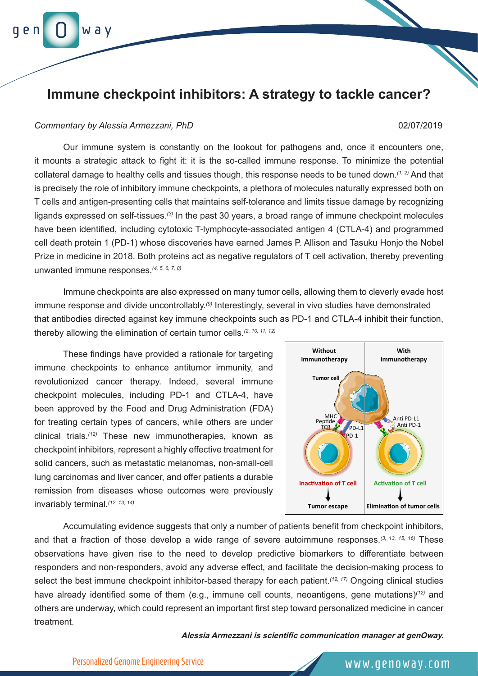# w a v

## **Immune checkpoint inhibitors: A strategy to tackle cancer?**

### *Commentary by Alessia Armezzani, PhD* 02/07/2019

Our immune system is constantly on the lookout for pathogens and, once it encounters one, it mounts a strategic attack to fight it: it is the so-called immune response. To minimize the potential collateral damage to healthy cells and tissues though, this response needs to be tuned down.*(1, 2)* And that is precisely the role of inhibitory immune checkpoints, a plethora of molecules naturally expressed both on T cells and antigen-presenting cells that maintains self-tolerance and limits tissue damage by recognizing ligands expressed on self-tissues.*(3)* In the past 30 years, a broad range of immune checkpoint molecules have been identified, including cytotoxic T-lymphocyte-associated antigen 4 (CTLA-4) and programmed cell death protein 1 (PD-1) whose discoveries have earned James P. Allison and Tasuku Honjo the Nobel Prize in medicine in 2018. Both proteins act as negative regulators of T cell activation, thereby preventing unwanted immune responses.*(4, 5, 6, 7, 8)*

Immune checkpoints are also expressed on many tumor cells, allowing them to cleverly evade host immune response and divide uncontrollably.*(9)* Interestingly, several in vivo studies have demonstrated that antibodies directed against key immune checkpoints such as PD-1 and CTLA-4 inhibit their function, thereby allowing the elimination of certain tumor cells.*(2, 10, 11, 12)*

These findings have provided a rationale for targeting immune checkpoints to enhance antitumor immunity, and revolutionized cancer therapy. Indeed, several immune checkpoint molecules, including PD-1 and CTLA-4, have been approved by the Food and Drug Administration (FDA) for treating certain types of cancers, while others are under clinical trials.*(12)* These new immunotherapies, known as checkpoint inhibitors, represent a highly effective treatment for solid cancers, such as metastatic melanomas, non-small-cell lung carcinomas and liver cancer, and offer patients a durable remission from diseases whose outcomes were previously invariably terminal.*(12, 13, 14)*



Accumulating evidence suggests that only a number of patients benefit from checkpoint inhibitors, and that a fraction of those develop a wide range of severe autoimmune responses.*(3, 13, 15, 16)* These observations have given rise to the need to develop predictive biomarkers to differentiate between responders and non-responders, avoid any adverse effect, and facilitate the decision-making process to select the best immune checkpoint inhibitor-based therapy for each patient.*(12, 17)* Ongoing clinical studies have already identified some of them (e.g., immune cell counts, neoantigens, gene mutations)*(12)* and others are underway, which could represent an important first step toward personalized medicine in cancer treatment.

**Alessia Armezzani is scientific communication manager at genOway.**